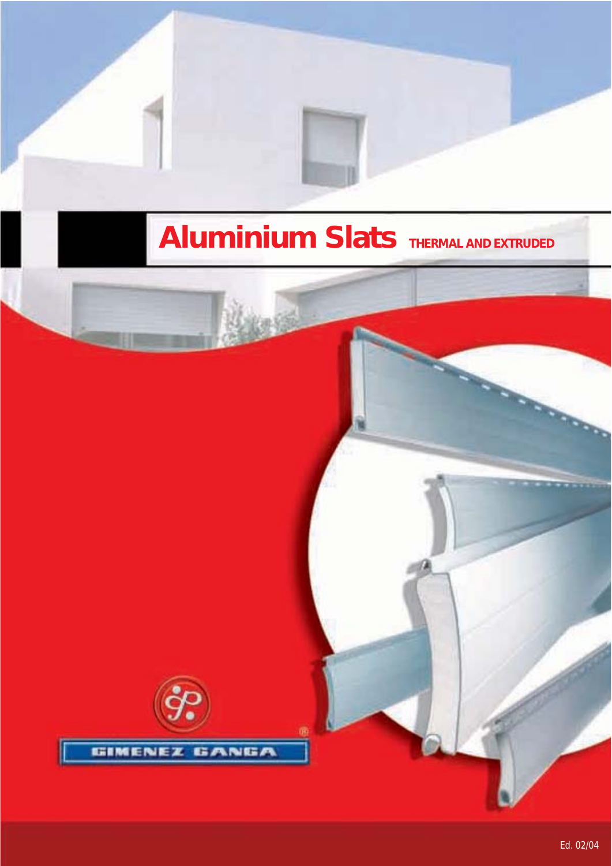# **Aluminium Slats THERMAL AND EXTRUDED**

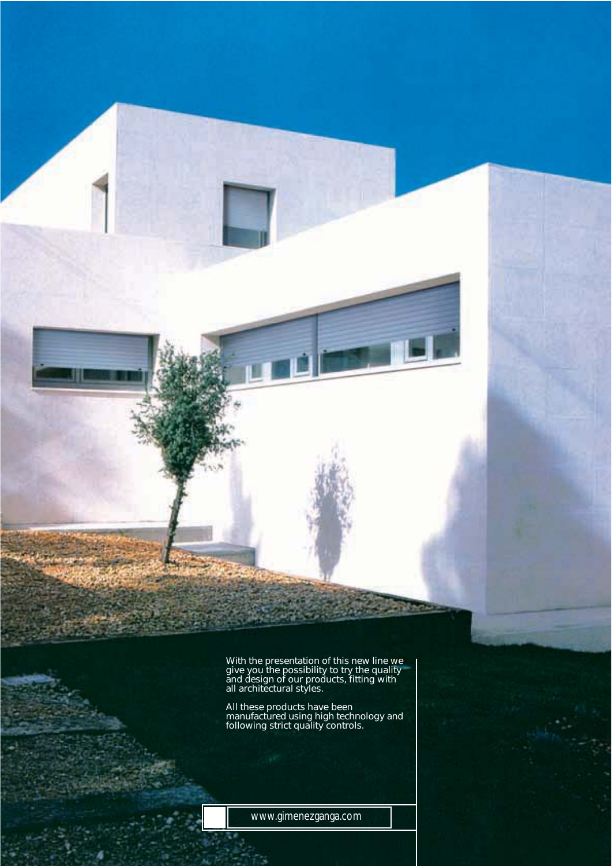With the presentation of this new line we give you the possibility to try the quality and design of our products, fitting with all architectural styles.

All these products have been manufactured using high technology and following strict quality controls.

www.gimenezganga.com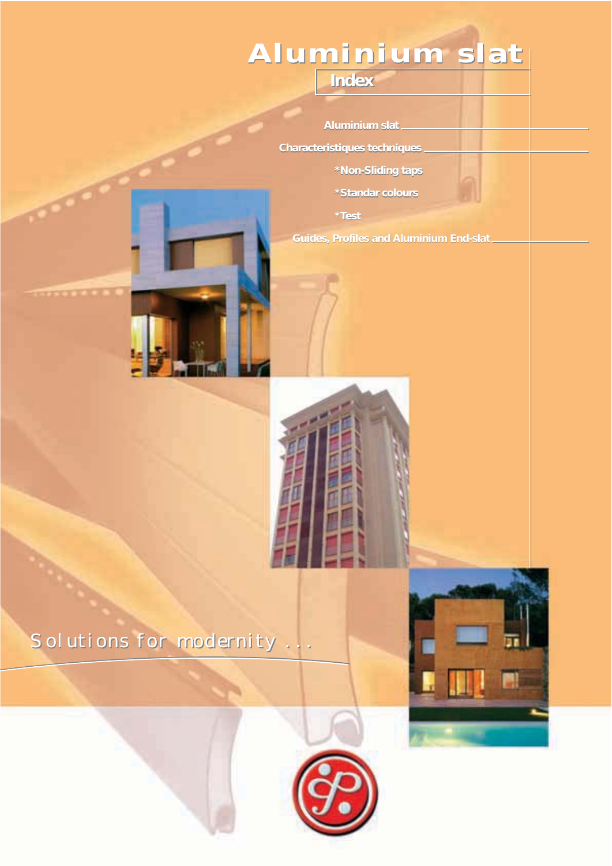# **Aluminium slat Aluminium slat**

**Index Index**

*Aluminium slat*

*Characteristiques techniques*

*\*Non-Sliding taps \*Non-Sliding taps*

*\*Standar colours \*Standar* 

*\*Test \*Test*

*Guides, Profiles and Aluminium End-slat Guides, Profiles and Aluminium End-slat*







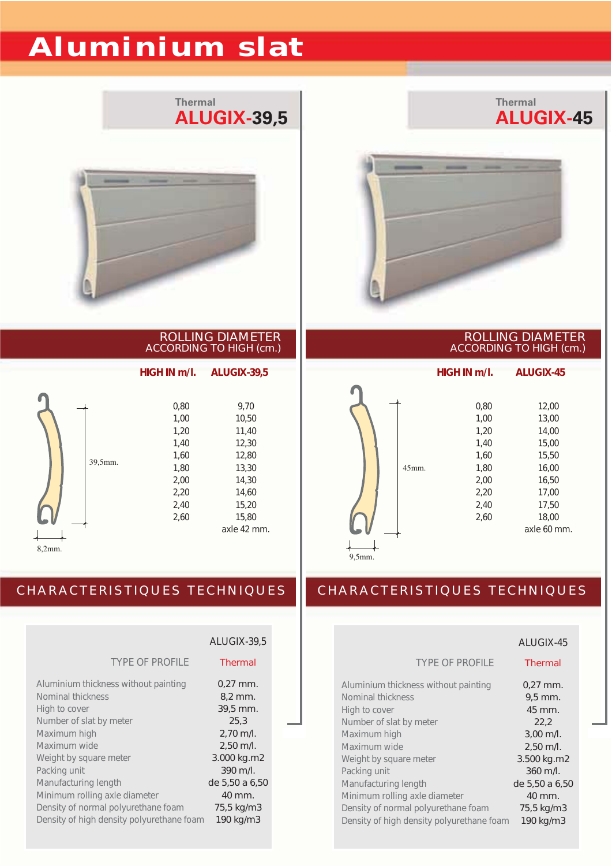# **Aluminium slat**





#### ROLLING DIAMETER ACCORDING TO HIGH (cm.)

39,5mm. 8,2mm. 0,80 9,70 1,00 10,50 1,20 11,40 1,40 12,30 1,60 12,80 1,80 13,30 2,00 14,30 2,20 14,60 2,40 15,20 2,60 15,80 axle 42 mm. *HIGH IN m/l. ALUGIX-39,5*

#### ROLLING DIAMETER ACCORDING TO HIGH (cm.)

**Thermal**

**ALUGIX-45**



| 12.00       |
|-------------|
| 13,00       |
| 14.00       |
| 15,00       |
| 15,50       |
| 16.00       |
| 16.50       |
| 17.00       |
| 17,50       |
| 18,00       |
| axle 60 mm. |
|             |

9,5mm.

### CHARACTERISTIQUES TECHNIQUES

|                                                                            | ALUGIX-39,5                         |  |
|----------------------------------------------------------------------------|-------------------------------------|--|
| <b>TYPE OF PROFILE</b>                                                     | <b>Thermal</b>                      |  |
| Aluminium thickness without painting<br>Nominal thickness<br>High to cover | $0.27$ mm.<br>$8.2$ mm.<br>39,5 mm. |  |
| Number of slat by meter<br>Maximum high                                    | 25,3<br>$2,70$ m/l.                 |  |
| Maximum wide                                                               | $2,50$ m/l.                         |  |
| Weight by square meter<br>Packing unit                                     | 3.000 kg.m2<br>$390$ m/l.           |  |
| Manufacturing length                                                       | de 5,50 a 6,50                      |  |
| Minimum rolling axle diameter                                              | 40 mm.                              |  |
| Density of normal polyurethane foam                                        | 75,5 kg/m3                          |  |
| Density of high density polyurethane foam                                  | 190 kg/m3                           |  |

|                                           | ALUGIX-45      |
|-------------------------------------------|----------------|
| <b>TYPE OF PROFILE</b>                    | <b>Thermal</b> |
| Aluminium thickness without painting      | $0.27$ mm.     |
| Nominal thickness                         | $9.5$ mm.      |
| High to cover                             | 45 mm.         |
| Number of slat by meter                   | 22,2           |
| Maximum high                              | $3,00$ m/l.    |
| Maximum wide                              | $2,50$ m/l.    |
| Weight by square meter                    | 3.500 kg.m2    |
| Packing unit                              | $360$ m/l.     |
| Manufacturing length                      | de 5,50 a 6,50 |
| Minimum rolling axle diameter             | 40 mm.         |
| Density of normal polyurethane foam       | 75,5 kg/m3     |
| Density of high density polyurethane foam | 190 kg/m3      |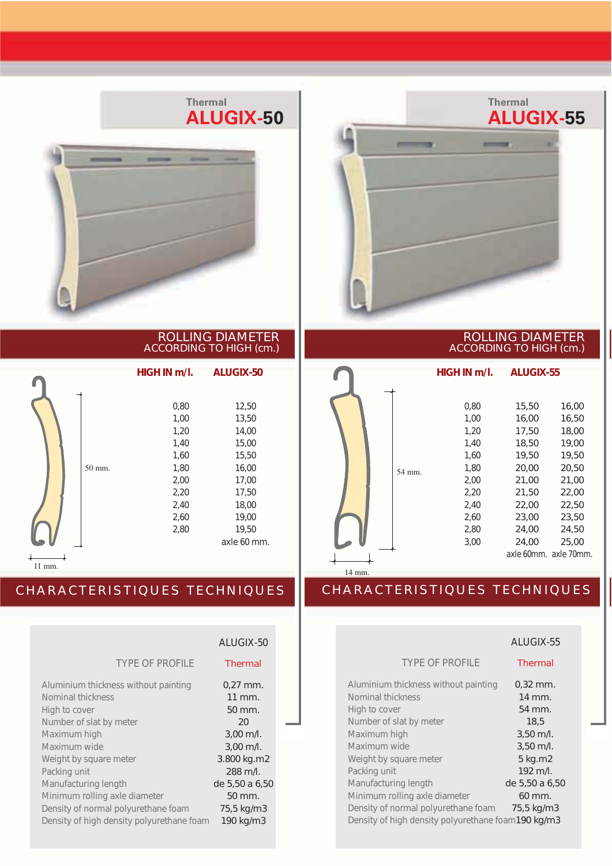

#### ROLLING DIAMETER ACCORDING TO HIGH (cm.)

|        | HIGH IN m/l. | <b>ALUGIX-50</b> |
|--------|--------------|------------------|
|        |              |                  |
|        | 0,80         | 12,50            |
|        | 1,00         | 13,50            |
|        | 1,20         | 14,00            |
|        | 1,40         | 15,00            |
|        | 1,60         | 15,50            |
| 50 mm. | 1,80         | 16,00            |
|        | 2,00         | 17,00            |
|        | 2,20         | 17,50            |
|        | 2,40         | 18,00            |
|        | 2,60         | 19,00            |
|        | 2,80         | 19,50            |
|        |              | axle 60 mm.      |

11 mm.

### CHARACTERISTIQUES TECHNIQUES

|                                                                            | ALUGIX-50                           |  |
|----------------------------------------------------------------------------|-------------------------------------|--|
| <b>TYPE OF PROFILE</b>                                                     | <b>Thermal</b>                      |  |
| Aluminium thickness without painting<br>Nominal thickness<br>High to cover | $0.27$ mm.<br>11 mm.<br>50 mm.      |  |
| Number of slat by meter                                                    | 20                                  |  |
| Maximum high<br>Maximum wide                                               | $3,00$ m/l.<br>$3,00$ m/l.          |  |
| Weight by square meter<br>Packing unit                                     | 3.800 kg.m2<br>288 m/l.             |  |
| Manufacturing length                                                       | de 5,50 a 6,50                      |  |
| Minimum rolling axle diameter<br>Density of normal polyurethane foam       | $50 \, \mathrm{mm}$ .<br>75,5 kg/m3 |  |
| Density of high density polyurethane foam                                  | 190 kg/m3                           |  |



#### ROLLING DIAMETER ACCORDING TO HIGH (cm.)



|                                                                                           | ALUGIX-55      |
|-------------------------------------------------------------------------------------------|----------------|
| <b>TYPE OF PROFILE</b>                                                                    | <b>Thermal</b> |
| Aluminium thickness without painting                                                      | $0,32$ mm.     |
| Nominal thickness                                                                         | 14 mm.         |
| High to cover                                                                             | 54 mm.         |
| Number of slat by meter                                                                   | 18,5           |
| Maximum high                                                                              | $3,50$ m/l.    |
| Maximum wide                                                                              | $3,50$ m/l.    |
| Weight by square meter                                                                    | 5 kg.m2        |
| Packing unit                                                                              | $192$ m/l.     |
| Manufacturing length                                                                      | de 5,50 a 6,50 |
| Minimum rolling axle diameter                                                             | 60 mm.         |
| Density of normal polyurethane foam<br>Density of high density polyurethane foam190 kg/m3 | 75,5 kg/m3     |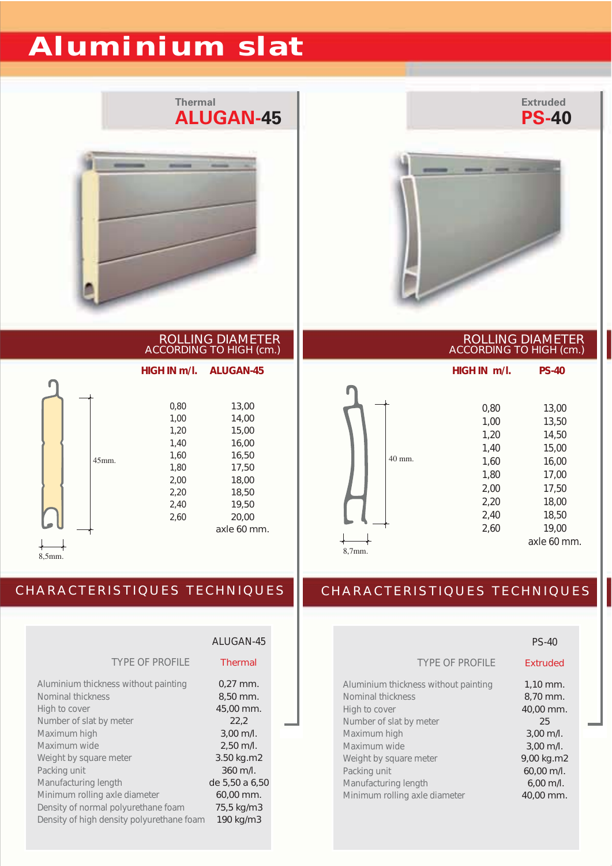# **Aluminium slat**





ROLLING DIAMETER ACCORDING TO HIGH (cm.)

*HIGH IN m/l. ALUGAN-45*

|  |          | 0,80 | 13,00       |
|--|----------|------|-------------|
|  |          | 1,00 | 14,00       |
|  |          | 1,20 | 15,00       |
|  |          | 1,40 | 16,00       |
|  | $45$ mm. | 1,60 | 16,50       |
|  |          | 1,80 | 17,50       |
|  |          | 2,00 | 18,00       |
|  |          | 2,20 | 18,50       |
|  |          | 2,40 | 19,50       |
|  |          | 2,60 | 20,00       |
|  |          |      | axle 60 mm. |
|  |          |      |             |
|  |          |      |             |

8,5mm.

### CHARACTERISTIQUES TECHNIQUES

|                                           | ALUGAN-45      |  |
|-------------------------------------------|----------------|--|
| <b>TYPE OF PROFILE</b>                    | Thermal        |  |
| Aluminium thickness without painting      | $0.27$ mm.     |  |
| Nominal thickness                         | 8,50 mm.       |  |
| High to cover                             | 45,00 mm.      |  |
| Number of slat by meter                   | 22,2           |  |
| Maximum high                              | $3,00$ m/l.    |  |
| Maximum wide                              | $2,50$ m/l.    |  |
| Weight by square meter                    | 3.50 kg.m2     |  |
| Packing unit                              | 360 m/l.       |  |
| Manufacturing length                      | de 5,50 a 6,50 |  |
| Minimum rolling axle diameter             | 60,00 mm.      |  |
| Density of normal polyurethane foam       | 75,5 kg/m3     |  |
| Density of high density polyurethane foam | 190 kg/m3      |  |

#### ROLLING DIAMETER ACCORDING TO HIGH (cm.)

**Extruded**



|                                                                                                                                                                                                                                          | <b>PS-40</b>                                                                                                                             |
|------------------------------------------------------------------------------------------------------------------------------------------------------------------------------------------------------------------------------------------|------------------------------------------------------------------------------------------------------------------------------------------|
| <b>TYPE OF PROFILE</b>                                                                                                                                                                                                                   | <b>Fxtruded</b>                                                                                                                          |
| Aluminium thickness without painting<br>Nominal thickness<br>High to cover<br>Number of slat by meter<br>Maximum high<br>Maximum wide<br>Weight by square meter<br>Packing unit<br>Manufacturing length<br>Minimum rolling axle diameter | 1,10 mm.<br>8,70 mm.<br>40,00 mm.<br>25<br>$3,00$ m/l.<br>$3.00$ m/l.<br>9,00 kg.m2<br>60,00 m/l.<br>$6,00 \; \text{m/l}$ .<br>40.00 mm. |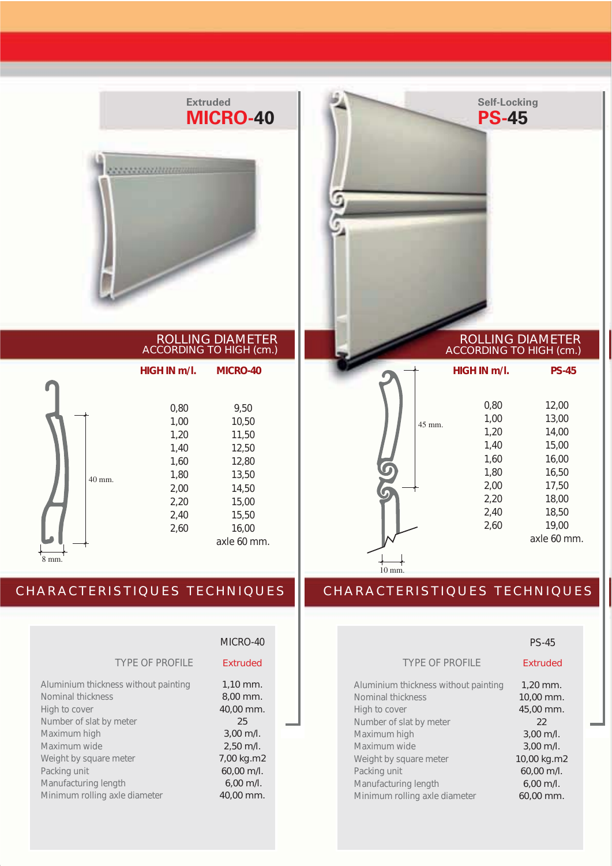

ROLLING DIAMETER ACCORDING TO HIGH (cm.)

|       |        | HIGH IN m/l. | <b>MICRO-40</b> |
|-------|--------|--------------|-----------------|
|       |        |              |                 |
|       |        | 0,80         | 9,50            |
|       |        | 1,00         | 10,50           |
|       |        | 1,20         | 11,50           |
|       |        | 1,40         | 12,50           |
|       |        | 1,60         | 12,80           |
|       | 40 mm. | 1,80         | 13,50           |
|       |        | 2,00         | 14,50           |
|       |        | 2,20         | 15,00           |
|       |        | 2,40         | 15,50           |
|       |        | 2,60         | 16,00           |
|       |        |              | axle 60 mm.     |
| 8 mm. |        |              |                 |

### CHARACTERISTIQUES TECHNIQUES

| <b>Extruded</b> |
|-----------------|
| $1,10$ mm.      |
| $8.00$ mm.      |
| 40,00 mm.       |
| 25              |
| $3,00$ m/l.     |
| $2,50$ m/l.     |
| 7,00 kg.m2      |
| 60,00 m/l.      |
| $6,00$ m/l.     |
| 40,00 mm.       |
|                 |

#### MICRO-40

#### xtruded

| ,10 mm.             |
|---------------------|
| ,00 mm.             |
| 0,00 mm.            |
| 25                  |
| ,00 m/l.            |
| .,50 m/l.           |
| 00 kg.m2            |
| 0,00 m/l.           |
| $5,00 \text{ m/l}.$ |
| $0,00$ mm.          |



#### ROLLING DIAMETER ACCORDING TO HIGH (cm.)

|                |        | HIGH IN m/l. | <b>PS-45</b> |
|----------------|--------|--------------|--------------|
|                |        |              |              |
|                |        | 0,80         | 12,00        |
|                | 45 mm. | 1,00         | 13,00        |
|                |        | 1,20         | 14,00        |
|                |        | 1,40         | 15,00        |
|                |        | 1,60         | 16,00        |
|                |        | 1,80         | 16,50        |
|                |        | 2,00         | 17,50        |
|                |        | 2,20         | 18,00        |
|                |        | 2,40         | 18,50        |
|                |        | 2,60         | 19,00        |
|                |        |              | axle 60 mm.  |
|                |        |              |              |
| $0 \text{ mm}$ |        |              |              |

|                                      | <b>PS-45</b>    |
|--------------------------------------|-----------------|
| <b>TYPE OF PROFILE</b>               | <b>Extruded</b> |
| Aluminium thickness without painting | $1,20$ mm.      |
| Nominal thickness                    | 10,00 mm.       |
| High to cover                        | 45,00 mm.       |
| Number of slat by meter              | 22              |
| Maximum high                         | $3,00$ m/l.     |
| Maximum wide                         | $3.00$ m/l.     |
| Weight by square meter               | 10,00 kg.m2     |
| Packing unit                         | 60,00 m/l.      |
| Manufacturing length                 | $6,00$ m/l.     |
| Minimum rolling axle diameter        | 60.00 mm.       |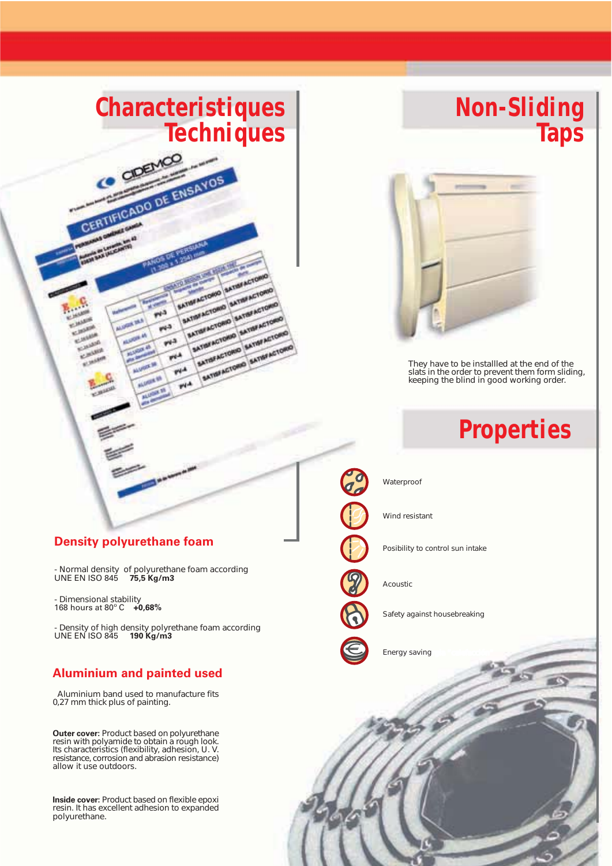# **Characteristiques Techniques**

MIMACTORO MINIARTO MTM ACTORO MATINACTO **SATISFACTORIO SATISFACTORIO**<br>SATISFACTORIO SATISFACTORIO<br>EATISFACTORIO SATISFACTORI MYSE ACTORIO SATISFACTOR<br>MTSFACTORIO SATISFACTOR<br>SATISFACTORIO SATISFACTO

MATINA ACTORIO SATINA ACTORIO

SATISFACTORIO SATISFACTO

CERTIFICADO DE ENSAYOS

 $\mathbf{r}^{(1)}$ 

 $44<sup>2</sup>$ 

₩  $\widetilde{\mathbf{r}^{\mu}}$  $\widetilde{\mathcal{H}}^A$ 

# **Non-Sliding Taps**



*They have to be installled at the end of the slats in the order to prevent them form sliding, keeping the blind in good working order.*

# **Properties**

#### **Density polyurethane foam**

*- Normal density of polyurethane foam according* UNE EN ISO 845 **75,5 Kg/m3**

*- Dimensional stability* 168 hours at 80º C **+0,68%**

*- Density of high density polyrethane foam according* UNE EN ISO 845 **190 Kg/m3**

#### **Aluminium and painted used**

 *Aluminium band used to manufacture fits 0,27 mm thick plus of painting.*

**Outer cover:** *Product based on polyurethane resin with polyamide to obtain a rough look. Its characteristics (flexibility, adhesion, U. V. resistance, corrosion and abrasion resistance) allow it use outdoors.*

**Inside cover:** *Product based on flexible epoxi resin. It has excellent adhesion to expanded polyurethane.*



*Waterproof*

*Posibility to control sun intake*

*Acoustic*



*Safety against housebreaking*

*Ahorro de energia "calefacción" Energy saving*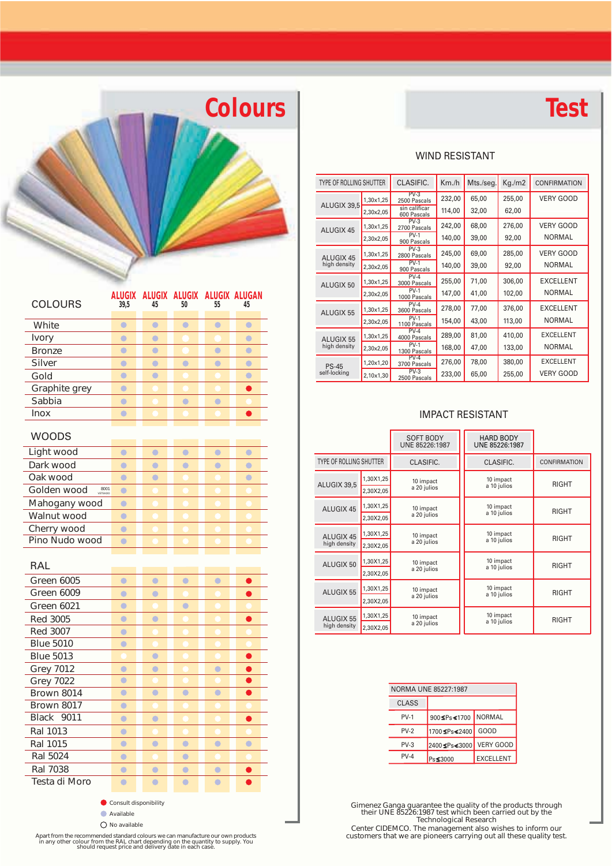# **Colours Test**

#### WIND RESISTANT

| TYPE OF ROLLING SHUTTER |           | CLASIFIC.                    | Km/h   | Mts./seg. | Kg/m2  | <b>CONFIRMATION</b> |
|-------------------------|-----------|------------------------------|--------|-----------|--------|---------------------|
|                         | 1,30x1,25 | $PV-3$<br>2500 Pascals       | 232,00 | 65,00     | 255,00 | <b>VERY GOOD</b>    |
| ALUGIX 39,5             | 2,30x2,05 | sin calificar<br>600 Pascals | 114,00 | 32,00     | 62,00  |                     |
| ALUGIX 45               | 1,30x1,25 | $PV-3$<br>2700 Pascals       | 242,00 | 68,00     | 276,00 | <b>VERY GOOD</b>    |
|                         | 2,30×2,05 | $PV-1$<br>900 Pascals        | 140,00 | 39,00     | 92,00  | <b>NORMAL</b>       |
| ALUGIX 45               | 1,30x1,25 | $PV-3$<br>2800 Pascals       | 245,00 | 69,00     | 285,00 | <b>VERY GOOD</b>    |
| high density            | 2,30×2,05 | $PV-1$<br>900 Pascals        | 140,00 | 39,00     | 92,00  | <b>NORMAL</b>       |
| ALUGIX 50               | 1,30x1,25 | $PV-4$<br>3000 Pascals       | 255,00 | 71,00     | 306,00 | <b>EXCELLENT</b>    |
|                         | 2,30x2,05 | $PV-1$<br>1000 Pascals       | 147,00 | 41,00     | 102,00 | <b>NORMAL</b>       |
| ALUGIX 55               | 1,30x1,25 | $PV-4$<br>3600 Pascals       | 278,00 | 77,00     | 376,00 | <b>EXCELLENT</b>    |
|                         | 2,30×2,05 | $PV-1$<br>1100 Pascals       | 154,00 | 43,00     | 113,00 | <b>NORMAL</b>       |
| ALUGIX 55               | 1,30x1,25 | $PV-4$<br>4000 Pascals       | 289,00 | 81,00     | 410,00 | <b>EXCELLENT</b>    |
| high density            | 2,30×2,05 | $PV-1$<br>1300 Pascals       | 168,00 | 47,00     | 133,00 | <b>NORMAL</b>       |
| <b>PS-45</b>            | 1,20x1,20 | $PV-4$<br>3700 Pascals       | 276,00 | 78,00     | 380,00 | <b>EXCELLENT</b>    |
| self-locking            | 2,10×1,30 | $PV-3$<br>2500 Pascals       | 233,00 | 65,00     | 255,00 | <b>VERY GOOD</b>    |

#### IMPACT RESISTANT

|                           |                        | <b>SOFT BODY</b><br>UNE 85226:1987 | <b>HARD BODY</b><br>UNE 85226:1987 |              |
|---------------------------|------------------------|------------------------------------|------------------------------------|--------------|
| TYPE OF ROLLING SHUTTER   |                        | CLASIFIC.                          | CLASIFIC.                          | CONFIRMATION |
| ALUGIX 39.5               | 1,30X1,25<br>2,30X2,05 | 10 impact<br>a 20 julios           | 10 impact<br>a 10 julios           | <b>RIGHT</b> |
| ALUGIX 45                 | 1,30X1,25<br>2,30X2,05 | 10 impact<br>a 20 julios           | 10 impact<br>a 10 julios           | <b>RIGHT</b> |
| ALUGIX 45<br>high density | 1,30X1,25<br>2,30X2,05 | 10 impact<br>a 20 julios           | 10 impact<br>a 10 julios           | <b>RIGHT</b> |
| ALUGIX 50                 | 1,30X1,25<br>2,30X2,05 | 10 impact<br>a 20 julios           | 10 impact<br>a 10 julios           | <b>RIGHT</b> |
| ALUGIX 55                 | 1,30X1,25<br>2,30X2,05 | 10 impact<br>a 20 julios           | 10 impact<br>a 10 julios           | <b>RIGHT</b> |
| ALUGIX 55<br>high density | 1,30X1,25<br>2,30X2,05 | 10 impact<br>a 20 julios           | 10 impact<br>a 10 julios           | <b>RIGHT</b> |

|          | NORMA UNE 85227:1987 |                  |
|----------|----------------------|------------------|
| CLASS    |                      |                  |
| $PV-1$   | 900≤Ps<1700          | <b>NORMAL</b>    |
| $PV-2$   | 1700≤Ps≤2400         | GOOD             |
| $PV-3$   | 2400≤Ps≤3000         | <b>VERY GOOD</b> |
| $PV - 4$ | Ps≰3000              | <b>EXCELLENT</b> |

*Gimenez Ganga guarantee the quality of the products through their UNE 85226:1987 test which been carried out by the Technological Research*

*Center CIDEMCO. The management also wishes to inform our customers that we are pioneers carrying out all these quality test.*

| <b>COLOURS</b>      | ALUGIX<br>39,5 | 45        | ALUGIX ALUGIX ALUGIX ALUGAN<br>50 | 55        | 45               |
|---------------------|----------------|-----------|-----------------------------------|-----------|------------------|
| White               | $\bullet$      | $\bullet$ | $\bullet$                         | $\bullet$ | $\bullet$        |
| Ivory               | $\bullet$      | $\bullet$ |                                   |           | $\bullet$        |
| <b>Bronze</b>       | $\bullet$      | $\bullet$ |                                   | $\bullet$ | $\bullet$        |
| <b>Silver</b>       | $\bullet$      | $\bullet$ | $\bullet$                         | $\bullet$ | $\bullet$        |
| Gold                | $\bullet$      | $\bullet$ |                                   |           | $\bullet$        |
| Graphite grey       | $\bullet$      |           |                                   |           | $\bullet$        |
| Sabbia              | $\bullet$      |           | $\bullet$                         | $\bullet$ |                  |
| <b>Inox</b>         | $\bullet$      |           |                                   |           |                  |
| WOODS               |                |           |                                   |           |                  |
| Light wood          | $\bullet$      | $\bullet$ | $\bullet$                         | $\bullet$ | $\ddot{\bullet}$ |
| Dark wood           | $\bullet$      | $\bullet$ | $\bullet$                         | $\bullet$ | $\bullet$        |
| Oak wood            | $\bullet$      | $\bullet$ |                                   |           | $\bullet$        |
| 8001<br>Golden wood | $\bullet$      |           |                                   |           |                  |
| Mahogany wood       | $\bullet$      |           |                                   |           |                  |
| Walnut wood         | $\bullet$      |           |                                   |           |                  |
| Cherry wood         | $\bullet$      |           |                                   |           |                  |
| Pino Nudo wood      | $\bullet$      |           |                                   |           |                  |
|                     |                |           |                                   |           |                  |
| RAL                 |                |           |                                   |           |                  |
| Green 6005          | $\bullet$      | $\bullet$ | $\bullet$                         | $\bullet$ |                  |
| Green 6009          | $\bullet$      | $\bullet$ |                                   |           |                  |
| Green 6021          | $\bullet$      |           | $\bullet$                         |           |                  |
| <b>Red 3005</b>     | $\bullet$      | $\bullet$ |                                   |           |                  |
| <b>Red 3007</b>     | $\bullet$      |           |                                   |           |                  |
| <b>Blue 5010</b>    | $\bullet$      |           |                                   |           |                  |
| <b>Blue 5013</b>    |                | $\bullet$ |                                   |           | ●                |
| <b>Grey 7012</b>    | $\bullet$      | $\bullet$ |                                   | $\bullet$ | ●                |
| <b>Grey 7022</b>    | $\bullet$      |           |                                   |           |                  |
| Brown 8014          | $\bullet$      | $\bullet$ | $\bullet$                         | $\bullet$ | $\bullet$        |
| <b>Brown 8017</b>   | $\bullet$      |           |                                   |           |                  |
|                     |                | $\bullet$ |                                   |           | ●                |
| Black<br>9011       | $\bullet$      |           |                                   |           |                  |
| Ral 1013            | $\bullet$      |           |                                   |           |                  |
| Ral 1015            | $\bullet$      | $\bullet$ | $\bullet$                         | $\bullet$ | $\bullet$        |
| Ral 5024            | $\bullet$      |           | $\bullet$                         |           |                  |
| Ral 7038            | $\bullet$      | $\bullet$ | $\bullet$                         | $\bullet$ |                  |

*Consult disponibility*

Apart from the recommended standard colours we can manufacture our own products<br>in any other colour from the RAL chart depending on the quantity to supply. You<br>should request price and delivery date in each case.

*Available No available*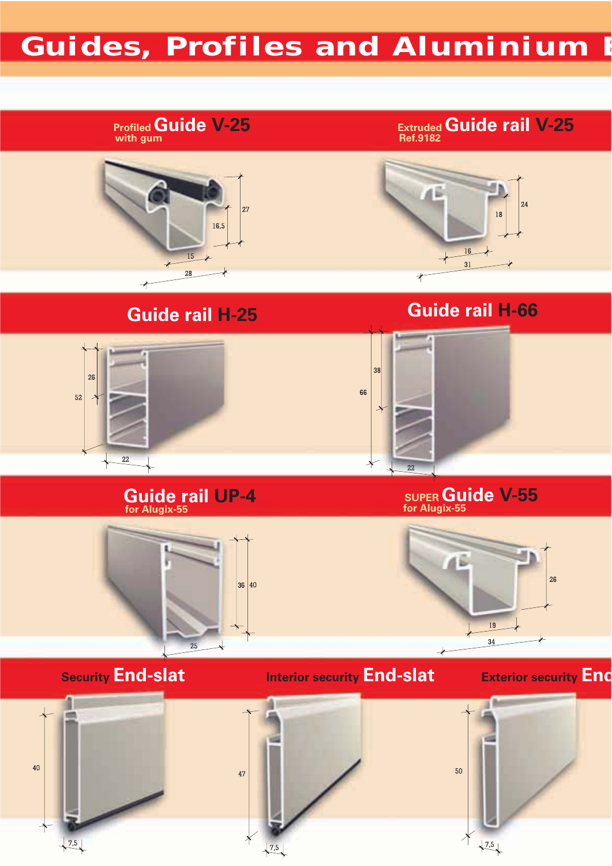# **Guides, Profiles and Aluminium E**

### **Profiled Guide V-25 with gum**

**ExtrudedGuide rail V-25 Ref.9182**



# **Guide rail H-25 Guide rail H-66**





#### **Guide rail UP-4 for Alugix-55**

#### **SUPERGuide V-55 for Alugix-55**



### **Security End-slat**

26

 $52$  $\rightarrow$ 

### **Interior security End-slat**

## **Exterior security End**

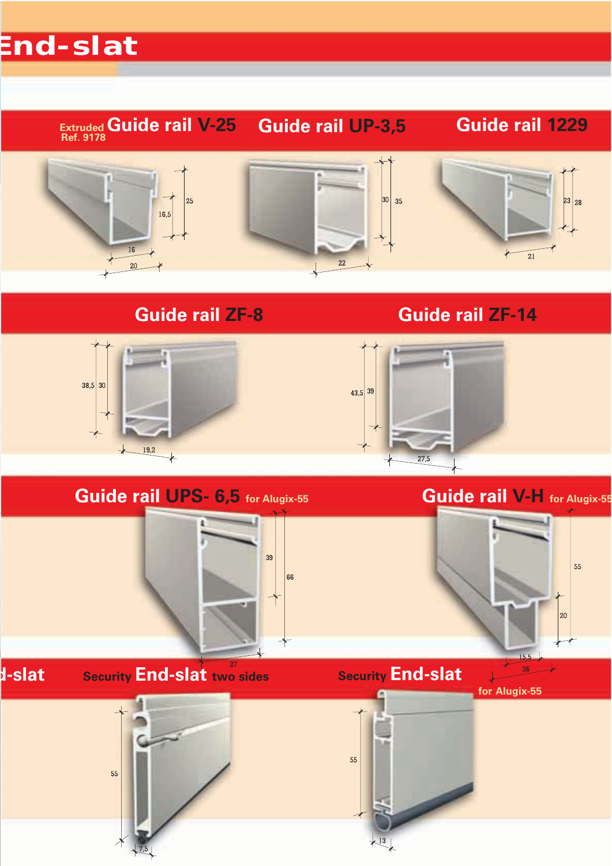# **End-slat**

#### **ExtrudedGuide rail V-25 Ref. 9178 Guide rail 1229 Guide rail UP-3,5**



## **Guide rail ZF-8 Guide rail ZF-14**





 $27,5$ 

## **Guide rail UPS- 6,5 for Alugix-55**

**Guide rail V-H for Alugix-55**